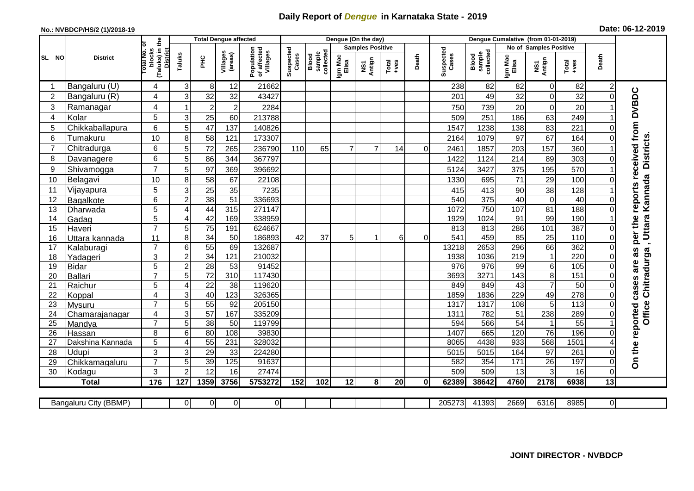## **Daily Report of** *Dengue* **in Karnataka State - 2019**

## **No.: NVBDCP/HS/2 (1)/2018-19**

|  |  | Date: 06-12-2019 |
|--|--|------------------|
|--|--|------------------|

|                |                       | the                                                       |                           |                  | <b>Total Dengue affected</b> |                                       |                    |                              | Dengue (On the day) |                         |                  |             |                    |                              |                  |                        |                  |                 |                                     |
|----------------|-----------------------|-----------------------------------------------------------|---------------------------|------------------|------------------------------|---------------------------------------|--------------------|------------------------------|---------------------|-------------------------|------------------|-------------|--------------------|------------------------------|------------------|------------------------|------------------|-----------------|-------------------------------------|
|                |                       |                                                           |                           |                  |                              |                                       |                    |                              |                     | <b>Samples Positive</b> |                  |             |                    |                              |                  | No of Samples Positive |                  |                 |                                     |
| SL NO          | <b>District</b>       | otal No. of<br>blocks<br>(Taluks) in t<br><b>District</b> | Taluks                    | Ξ                | Villages<br>(areas)          | Population<br>of affected<br>Villages | Suspected<br>Cases | collected<br>sample<br>Blood | Igm Mac<br>Elisa    | NS1<br>Antign           | Total<br>$+ve$ s | Death       | Suspected<br>Cases | sample<br>collected<br>Blood | Igm Mac<br>Elisa | NS1<br>Antign          | Total<br>+ves    | Death           |                                     |
|                | Bangaluru (U)         | 4                                                         | $\sqrt{3}$                | 8                | 12                           | 21662                                 |                    |                              |                     |                         |                  |             | 238                | 82                           | 82               | 0                      | 82               | $\overline{2}$  |                                     |
| $\overline{c}$ | Bangaluru (R)         | 4                                                         | 3                         | 32               | 32                           | 43427                                 |                    |                              |                     |                         |                  |             | 201                | 49                           | 32               | $\overline{0}$         | 32               | $\Omega$        |                                     |
| 3              | Ramanagar             | 4                                                         |                           | $\boldsymbol{2}$ | $\overline{2}$               | 2284                                  |                    |                              |                     |                         |                  |             | 750                | 739                          | 20               | $\mathbf 0$            | 20               |                 | per the reports received from DVBDC |
| 4              | Kolar                 | 5                                                         | $\ensuremath{\mathsf{3}}$ | 25               | 60                           | 213788                                |                    |                              |                     |                         |                  |             | 509                | 251                          | 186              | 63                     | 249              |                 |                                     |
| 5              | Chikkaballapura       | 6                                                         | 5                         | 47               | 137                          | 140826                                |                    |                              |                     |                         |                  |             | 1547               | 1238                         | 138              | 83                     | 221              |                 |                                     |
| 6              | Tumakuru              | 10                                                        | 8                         | 58               | 121                          | 173307                                |                    |                              |                     |                         |                  |             | 2164               | 1079                         | 97               | 67                     | 164              | 0               |                                     |
| 7              | Chitradurga           | 6                                                         | 5                         | 72               | 265                          | 236790                                | 110                | 65                           |                     |                         | 14               | $\Omega$    | 2461               | 1857                         | 203              | 157                    | 360              |                 |                                     |
| 8              | Davanagere            | 6                                                         | 5                         | 86               | 344                          | 367797                                |                    |                              |                     |                         |                  |             | 1422               | 1124                         | 214              | 89                     | 303              | $\Omega$        | <b>Districts</b>                    |
| 9              | Shivamogga            | $\overline{7}$                                            | 5                         | 97               | 369                          | 396692                                |                    |                              |                     |                         |                  |             | 5124               | 3427                         | 375              | 195                    | 570              |                 |                                     |
| 10             | Belagavi              | 10                                                        | 8                         | 58               | 67                           | 22108                                 |                    |                              |                     |                         |                  |             | 1330               | 695                          | 71               | 29                     | 100              |                 | Kannada                             |
| 11             | Vijayapura            | 5                                                         | $\ensuremath{\mathsf{3}}$ | $\overline{25}$  | 35                           | 7235                                  |                    |                              |                     |                         |                  |             | 415                | 413                          | 90               | 38                     | 128              |                 |                                     |
| 12             | Bagalkote             | 6                                                         | $\overline{2}$            | 38               | 51                           | 336693                                |                    |                              |                     |                         |                  |             | 540                | 375                          | 40               | $\overline{0}$         | 40               | $\Omega$        |                                     |
| 13             | Dharwada              | 5                                                         | 4                         | 44               | 315                          | 271147                                |                    |                              |                     |                         |                  |             | 1072               | 750                          | 107              | 81                     | 188              | $\Omega$        |                                     |
| 14             | Gadag                 | 5                                                         | 4                         | 42               | 169                          | 338959                                |                    |                              |                     |                         |                  |             | 1929               | 1024                         | 91               | 99                     | 190              |                 |                                     |
| 15             | Haveri                | $\overline{7}$                                            | 5                         | $\overline{75}$  | 191                          | 624667                                |                    |                              |                     |                         |                  |             | 813                | 813                          | 286              | $\frac{101}{101}$      | 387              | 0               |                                     |
| 16             | Uttara kannada        | 11                                                        | 8                         | 34               | 50                           | 186893                                | 42                 | 37                           | 5 <sub>l</sub>      |                         | 6                | $\Omega$    | 541                | 459                          | 85               | $\overline{25}$        | $\frac{110}{10}$ | $\Omega$        | , Uttara                            |
| 17             | Kalaburagi            | $\overline{7}$                                            | $6\phantom{1}$            | 55               | 69                           | 132687                                |                    |                              |                     |                         |                  |             | 13218              | 2653                         | 296              | 66                     | 362              |                 |                                     |
| 18             | Yadageri              | 3                                                         | $\overline{2}$            | 34               | 121                          | 210032                                |                    |                              |                     |                         |                  |             | 1938               | 1036                         | 219              | $\mathbf{1}$           | 220              | $\Omega$        | Chitradurga                         |
| 19             | <b>Bidar</b>          | 5                                                         | $\boldsymbol{2}$          | 28               | 53                           | 91452                                 |                    |                              |                     |                         |                  |             | 976                | 976                          | 99               | $\,6$                  | 105              | 0               |                                     |
| 20             | Ballari               | $\overline{7}$                                            | 5                         | $\overline{72}$  | $\overline{310}$             | 117430                                |                    |                              |                     |                         |                  |             | 3693               | 3271                         | 143              | $\overline{8}$         | 151              | $\Omega$        |                                     |
| 21             | Raichur               | 5                                                         | 4                         | 22               | 38                           | 119620                                |                    |                              |                     |                         |                  |             | 849                | 849                          | 43               | $\overline{7}$         | 50               | $\Omega$        |                                     |
| 22             | Koppal                | 4                                                         | $\sqrt{3}$                | 40               | 123                          | 326365                                |                    |                              |                     |                         |                  |             | 1859               | 1836                         | 229              | 49                     | 278              | $\Omega$        |                                     |
| 23             | Mysuru                | $\overline{7}$                                            | $\overline{5}$            | 55               | $\overline{92}$              | 205150                                |                    |                              |                     |                         |                  |             | 1317               | 1317                         | 108              | $\overline{5}$         | 113              | $\Omega$        | Office                              |
| 24             | Chamarajanagar        | 4                                                         | $\ensuremath{\mathsf{3}}$ | 57               | 167                          | 335209                                |                    |                              |                     |                         |                  |             | 1311               | 782                          | 51               | 238                    | 289              | $\Omega$        |                                     |
| 25             | Mandya                | 7                                                         | 5                         | 38               | 50                           | 119799                                |                    |                              |                     |                         |                  |             | 594                | 566                          | 54               | $\overline{1}$         | 55               |                 |                                     |
| 26             | Hassan                | 8                                                         | $\,6$                     | $\overline{80}$  | 108                          | 39830                                 |                    |                              |                     |                         |                  |             | 1407               | 665                          | 120              | 76                     | 196              | $\Omega$        |                                     |
| 27             | Dakshina Kannada      | 5                                                         | $\overline{4}$            | $\overline{55}$  | 231                          | 328032                                |                    |                              |                     |                         |                  |             | 8065               | 4438                         | 933              | 568                    | 1501             |                 |                                     |
| 28             | Udupi                 | 3                                                         | 3                         | 29               | 33                           | 224280                                |                    |                              |                     |                         |                  |             | 5015               | 5015                         | 164              | 97                     | 261              | $\Omega$        | On the reported cases are as        |
| 29             | Chikkamagaluru        | $\overline{7}$                                            | 5                         | 39               | 125                          | 91637                                 |                    |                              |                     |                         |                  |             | 582                | 354                          | 171              | $\overline{26}$        | 197              | $\mathbf 0$     |                                     |
| 30             | Kodagu                | 3                                                         | $\overline{c}$            | 12               | 16                           | 27474                                 |                    |                              |                     |                         |                  |             | 509                | 509                          | 13               | 3                      | 16               | $\pmb{0}$       |                                     |
|                | <b>Total</b>          | 176                                                       | 127                       | 1359             | 3756                         | 5753272                               | 152                | 102                          | 12                  | 8                       | 20               | $\mathbf 0$ | 62389              | 38642                        | 4760             | 2178                   | 6938             | $\overline{13}$ |                                     |
|                | Bangaluru City (BBMP) |                                                           | $\overline{0}$            | 0                | $\overline{0}$               | $\overline{O}$                        |                    |                              |                     |                         |                  |             | 205273             | 41393                        | 2669             | 6316                   | 8985             | $\overline{0}$  |                                     |